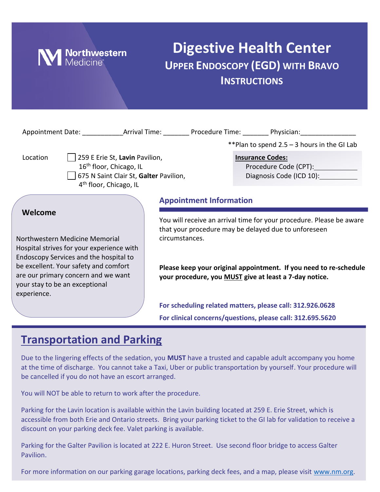

# **Digestive Health Center UPPER ENDOSCOPY (EGD) WITH BRAVO INSTRUCTIONS**

|                                                                                                                                                                                                                                                                   |  |                                                                                                                                                                                                                                                                               | **Plan to spend $2.5 - 3$ hours in the GI Lab                                                                                                                                                                                                              |
|-------------------------------------------------------------------------------------------------------------------------------------------------------------------------------------------------------------------------------------------------------------------|--|-------------------------------------------------------------------------------------------------------------------------------------------------------------------------------------------------------------------------------------------------------------------------------|------------------------------------------------------------------------------------------------------------------------------------------------------------------------------------------------------------------------------------------------------------|
| 259 E Erie St, Lavin Pavilion,<br>Location<br>16 <sup>th</sup> floor, Chicago, IL<br>675 N Saint Clair St, Galter Pavilion,<br>4 <sup>th</sup> floor, Chicago, IL                                                                                                 |  | <b>Insurance Codes:</b>                                                                                                                                                                                                                                                       | Procedure Code (CPT): Note that the set of the set of the set of the set of the set of the set of the set of the set of the set of the set of the set of the set of the set of the set of the set of the set of the set of the<br>Diagnosis Code (ICD 10): |
|                                                                                                                                                                                                                                                                   |  | <b>Appointment Information</b>                                                                                                                                                                                                                                                |                                                                                                                                                                                                                                                            |
| Welcome<br>Northwestern Medicine Memorial<br>Hospital strives for your experience with<br>Endoscopy Services and the hospital to<br>be excellent. Your safety and comfort<br>are our primary concern and we want<br>your stay to be an exceptional<br>experience. |  | You will receive an arrival time for your procedure. Please be aware<br>that your procedure may be delayed due to unforeseen<br>circumstances.<br>Please keep your original appointment. If you need to re-schedule<br>your procedure, you MUST give at least a 7-day notice. |                                                                                                                                                                                                                                                            |
|                                                                                                                                                                                                                                                                   |  | For scheduling related matters, please call: 312.926.0628<br>For clinical concerns/questions, please call: 312.695.5620                                                                                                                                                       |                                                                                                                                                                                                                                                            |

### **Transportation and Parking**

Due to the lingering effects of the sedation, you **MUST** have a trusted and capable adult accompany you home at the time of discharge. You cannot take a Taxi, Uber or public transportation by yourself. Your procedure will be cancelled if you do not have an escort arranged.

You will NOT be able to return to work after the procedure.

Parking for the Lavin location is available within the Lavin building located at 259 E. Erie Street, which is accessible from both Erie and Ontario streets. Bring your parking ticket to the GI lab for validation to receive a discount on your parking deck fee. Valet parking is available.

Parking for the Galter Pavilion is located at 222 E. Huron Street. Use second floor bridge to access Galter Pavilion.

For more information on our parking garage locations, parking deck fees, and a map, please visit [www.nm.org.](http://www.nm.org/)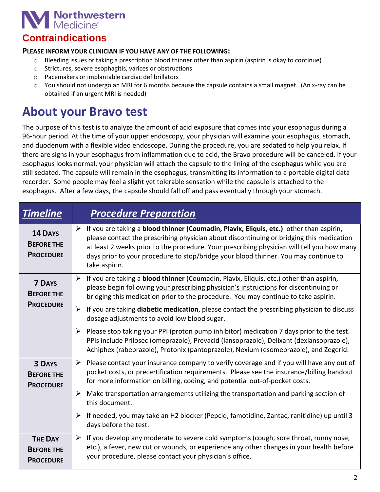

### **Contraindications**

#### **PLEASE INFORM YOUR CLINICIAN IF YOU HAVE ANY OF THE FOLLOWING:**

- $\circ$  Bleeding issues or taking a prescription blood thinner other than aspirin (aspirin is okay to continue)
- o Strictures, severe esophagitis, varices or obstructions
- o Pacemakers or implantable cardiac defibrillators
- o You should not undergo an MRI for 6 months because the capsule contains a small magnet. (An x-ray can be obtained if an urgent MRI is needed)

## **About your Bravo test**

The purpose of this test is to analyze the amount of acid exposure that comes into your esophagus during a 96-hour period. At the time of your upper endoscopy, your physician will examine your esophagus, stomach, and duodenum with a flexible video endoscope. During the procedure, you are sedated to help you relax. If there are signs in your esophagus from inflammation due to acid, the Bravo procedure will be canceled. If your esophagus looks normal, your physician will attach the capsule to the lining of the esophagus while you are still sedated. The capsule will remain in the esophagus, transmitting its information to a portable digital data recorder. Some people may feel a slight yet tolerable sensation while the capsule is attached to the esophagus. After a few days, the capsule should fall off and pass eventually through your stomach.

| <b>Timeline</b>                                         | <b>Procedure Preparation</b>                                                                                                                                                                                                                                                                                                                                                                               |
|---------------------------------------------------------|------------------------------------------------------------------------------------------------------------------------------------------------------------------------------------------------------------------------------------------------------------------------------------------------------------------------------------------------------------------------------------------------------------|
| <b>14 DAYS</b><br><b>BEFORE THE</b><br><b>PROCEDURE</b> | $\triangleright$ If you are taking a blood thinner (Coumadin, Plavix, Eliquis, etc.) other than aspirin,<br>please contact the prescribing physician about discontinuing or bridging this medication<br>at least 2 weeks prior to the procedure. Your prescribing physician will tell you how many<br>days prior to your procedure to stop/bridge your blood thinner. You may continue to<br>take aspirin. |
| <b>7 DAYS</b><br><b>BEFORE THE</b>                      | $\triangleright$ If you are taking a <b>blood thinner</b> (Coumadin, Plavix, Eliquis, etc.) other than aspirin,<br>please begin following your prescribing physician's instructions for discontinuing or<br>bridging this medication prior to the procedure. You may continue to take aspirin.                                                                                                             |
| <b>PROCEDURE</b>                                        | $\triangleright$ If you are taking <b>diabetic medication</b> , please contact the prescribing physician to discuss<br>dosage adjustments to avoid low blood sugar.                                                                                                                                                                                                                                        |
|                                                         | $\triangleright$ Please stop taking your PPI (proton pump inhibitor) medication 7 days prior to the test.<br>PPIs include Prilosec (omeprazole), Prevacid (lansoprazole), Delixant (dexlansoprazole),<br>Achiphex (rabeprazole), Protonix (pantoprazole), Nexium (esomeprazole), and Zegerid.                                                                                                              |
| <b>3 DAYS</b><br><b>BEFORE THE</b><br><b>PROCEDURE</b>  | $\triangleright$ Please contact your insurance company to verify coverage and if you will have any out of<br>pocket costs, or precertification requirements. Please see the insurance/billing handout<br>for more information on billing, coding, and potential out-of-pocket costs.                                                                                                                       |
|                                                         | Make transportation arrangements utilizing the transportation and parking section of<br>➤<br>this document.                                                                                                                                                                                                                                                                                                |
|                                                         | F if needed, you may take an H2 blocker (Pepcid, famotidine, Zantac, ranitidine) up until 3<br>days before the test.                                                                                                                                                                                                                                                                                       |
| <b>THE DAY</b><br><b>BEFORE THE</b><br><b>PROCEDURE</b> | $\triangleright$ If you develop any moderate to severe cold symptoms (cough, sore throat, runny nose,<br>etc.), a fever, new cut or wounds, or experience any other changes in your health before<br>your procedure, please contact your physician's office.                                                                                                                                               |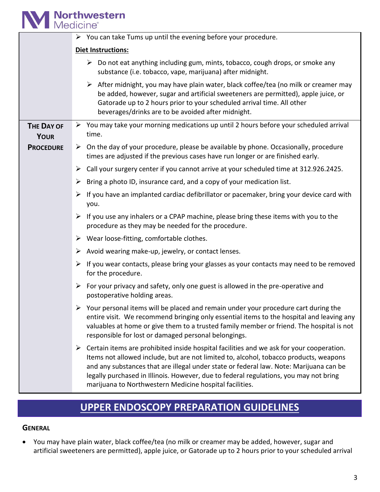# **M** Northwestern

|                                  | $\triangleright$ You can take Tums up until the evening before your procedure.                                                                                                                                                                                                                                                                                                                                                       |  |  |  |
|----------------------------------|--------------------------------------------------------------------------------------------------------------------------------------------------------------------------------------------------------------------------------------------------------------------------------------------------------------------------------------------------------------------------------------------------------------------------------------|--|--|--|
|                                  | <b>Diet Instructions:</b>                                                                                                                                                                                                                                                                                                                                                                                                            |  |  |  |
|                                  | $\triangleright$ Do not eat anything including gum, mints, tobacco, cough drops, or smoke any<br>substance (i.e. tobacco, vape, marijuana) after midnight.                                                                                                                                                                                                                                                                           |  |  |  |
|                                  | $\triangleright$ After midnight, you may have plain water, black coffee/tea (no milk or creamer may<br>be added, however, sugar and artificial sweeteners are permitted), apple juice, or<br>Gatorade up to 2 hours prior to your scheduled arrival time. All other<br>beverages/drinks are to be avoided after midnight.                                                                                                            |  |  |  |
| <b>THE DAY OF</b><br><b>YOUR</b> | $\triangleright$ You may take your morning medications up until 2 hours before your scheduled arrival<br>time.                                                                                                                                                                                                                                                                                                                       |  |  |  |
| <b>PROCEDURE</b>                 | $\triangleright$ On the day of your procedure, please be available by phone. Occasionally, procedure<br>times are adjusted if the previous cases have run longer or are finished early.                                                                                                                                                                                                                                              |  |  |  |
|                                  | Call your surgery center if you cannot arrive at your scheduled time at 312.926.2425.<br>➤                                                                                                                                                                                                                                                                                                                                           |  |  |  |
|                                  | Bring a photo ID, insurance card, and a copy of your medication list.<br>➤                                                                                                                                                                                                                                                                                                                                                           |  |  |  |
|                                  | If you have an implanted cardiac defibrillator or pacemaker, bring your device card with<br>you.                                                                                                                                                                                                                                                                                                                                     |  |  |  |
|                                  | $\triangleright$ If you use any inhalers or a CPAP machine, please bring these items with you to the<br>procedure as they may be needed for the procedure.                                                                                                                                                                                                                                                                           |  |  |  |
|                                  | $\triangleright$ Wear loose-fitting, comfortable clothes.                                                                                                                                                                                                                                                                                                                                                                            |  |  |  |
|                                  | Avoid wearing make-up, jewelry, or contact lenses.<br>➤                                                                                                                                                                                                                                                                                                                                                                              |  |  |  |
|                                  | If you wear contacts, please bring your glasses as your contacts may need to be removed<br>➤<br>for the procedure.                                                                                                                                                                                                                                                                                                                   |  |  |  |
|                                  | For your privacy and safety, only one guest is allowed in the pre-operative and<br>➤<br>postoperative holding areas.                                                                                                                                                                                                                                                                                                                 |  |  |  |
|                                  | $\triangleright$ Your personal items will be placed and remain under your procedure cart during the<br>entire visit. We recommend bringing only essential items to the hospital and leaving any<br>valuables at home or give them to a trusted family member or friend. The hospital is not<br>responsible for lost or damaged personal belongings.                                                                                  |  |  |  |
|                                  | Certain items are prohibited inside hospital facilities and we ask for your cooperation.<br>➤<br>Items not allowed include, but are not limited to, alcohol, tobacco products, weapons<br>and any substances that are illegal under state or federal law. Note: Marijuana can be<br>legally purchased in Illinois. However, due to federal regulations, you may not bring<br>marijuana to Northwestern Medicine hospital facilities. |  |  |  |

### **UPPER ENDOSCOPY PREPARATION GUIDELINES**

### **GENERAL**

• You may have plain water, black coffee/tea (no milk or creamer may be added, however, sugar and artificial sweeteners are permitted), apple juice, or Gatorade up to 2 hours prior to your scheduled arrival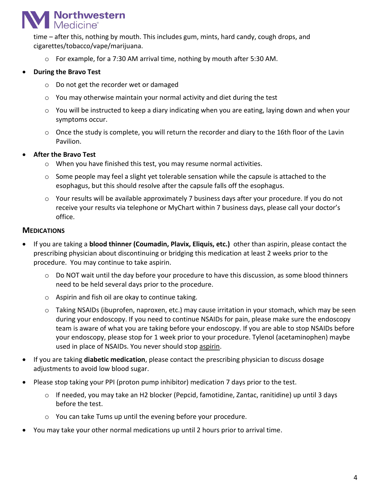### **Northwestern Medicine®**

time – after this, nothing by mouth. This includes gum, mints, hard candy, cough drops, and cigarettes/tobacco/vape/marijuana.

 $\circ$  For example, for a 7:30 AM arrival time, nothing by mouth after 5:30 AM.

### • **During the Bravo Test**

- o Do not get the recorder wet or damaged
- $\circ$  You may otherwise maintain your normal activity and diet during the test
- $\circ$  You will be instructed to keep a diary indicating when you are eating, laying down and when your symptoms occur.
- $\circ$  Once the study is complete, you will return the recorder and diary to the 16th floor of the Lavin Pavilion.

#### • **After the Bravo Test**

- o When you have finished this test, you may resume normal activities.
- $\circ$  Some people may feel a slight yet tolerable sensation while the capsule is attached to the esophagus, but this should resolve after the capsule falls off the esophagus.
- $\circ$  Your results will be available approximately 7 business days after your procedure. If you do not receive your results via telephone or MyChart within 7 business days, please call your doctor's office.

### **MEDICATIONS**

- If you are taking a **blood thinner (Coumadin, Plavix, Eliquis, etc.)** other than aspirin, please contact the prescribing physician about discontinuing or bridging this medication at least 2 weeks prior to the procedure. You may continue to take aspirin.
	- $\circ$  Do NOT wait until the day before your procedure to have this discussion, as some blood thinners need to be held several days prior to the procedure.
	- o Aspirin and fish oil are okay to continue taking.
	- o Taking NSAIDs (ibuprofen, naproxen, etc.) may cause irritation in your stomach, which may be seen during your endoscopy. If you need to continue NSAIDs for pain, please make sure the endoscopy team is aware of what you are taking before your endoscopy. If you are able to stop NSAIDs before your endoscopy, please stop for 1 week prior to your procedure. Tylenol (acetaminophen) maybe used in place of NSAIDs. You never should stop aspirin.
- If you are taking **diabetic medication**, please contact the prescribing physician to discuss dosage adjustments to avoid low blood sugar.
- Please stop taking your PPI (proton pump inhibitor) medication 7 days prior to the test.
	- o If needed, you may take an H2 blocker (Pepcid, famotidine, Zantac, ranitidine) up until 3 days before the test.
	- o You can take Tums up until the evening before your procedure.
- You may take your other normal medications up until 2 hours prior to arrival time.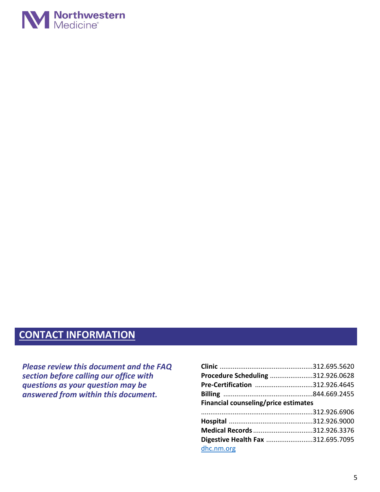

### **CONTACT INFORMATION**

*Please review this document and the FAQ section before calling our office with questions as your question may be answered from within this document.*

| Procedure Scheduling 312.926.0628    |  |  |  |  |
|--------------------------------------|--|--|--|--|
| Pre-Certification 312.926.4645       |  |  |  |  |
|                                      |  |  |  |  |
| Financial counseling/price estimates |  |  |  |  |
|                                      |  |  |  |  |
|                                      |  |  |  |  |
| Medical Records 312.926.3376         |  |  |  |  |
| Digestive Health Fax 312.695.7095    |  |  |  |  |
| dhc.nm.org                           |  |  |  |  |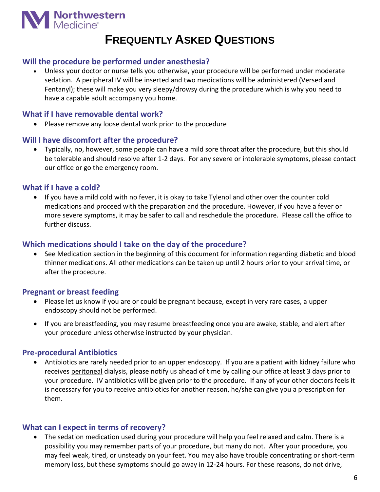

### **FREQUENTLY ASKED QUESTIONS**

### **Will the procedure be performed under anesthesia?**

• Unless your doctor or nurse tells you otherwise, your procedure will be performed under moderate sedation. A peripheral IV will be inserted and two medications will be administered (Versed and Fentanyl); these will make you very sleepy/drowsy during the procedure which is why you need to have a capable adult accompany you home.

### **What if I have removable dental work?**

• Please remove any loose dental work prior to the procedure

#### **Will I have discomfort after the procedure?**

• Typically, no, however, some people can have a mild sore throat after the procedure, but this should be tolerable and should resolve after 1-2 days. For any severe or intolerable symptoms, please contact our office or go the emergency room.

### **What if I have a cold?**

• If you have a mild cold with no fever, it is okay to take Tylenol and other over the counter cold medications and proceed with the preparation and the procedure. However, if you have a fever or more severe symptoms, it may be safer to call and reschedule the procedure. Please call the office to further discuss.

### **Which medications should I take on the day of the procedure?**

• See Medication section in the beginning of this document for information regarding diabetic and blood thinner medications. All other medications can be taken up until 2 hours prior to your arrival time, or after the procedure.

### **Pregnant or breast feeding**

- Please let us know if you are or could be pregnant because, except in very rare cases, a upper endoscopy should not be performed.
- If you are breastfeeding, you may resume breastfeeding once you are awake, stable, and alert after your procedure unless otherwise instructed by your physician.

#### **Pre-procedural Antibiotics**

• Antibiotics are rarely needed prior to an upper endoscopy. If you are a patient with kidney failure who receives peritoneal dialysis, please notify us ahead of time by calling our office at least 3 days prior to your procedure. IV antibiotics will be given prior to the procedure. If any of your other doctors feels it is necessary for you to receive antibiotics for another reason, he/she can give you a prescription for them.

#### **What can I expect in terms of recovery?**

• The sedation medication used during your procedure will help you feel relaxed and calm. There is a possibility you may remember parts of your procedure, but many do not. After your procedure, you may feel weak, tired, or unsteady on your feet. You may also have trouble concentrating or short-term memory loss, but these symptoms should go away in 12-24 hours. For these reasons, do not drive,